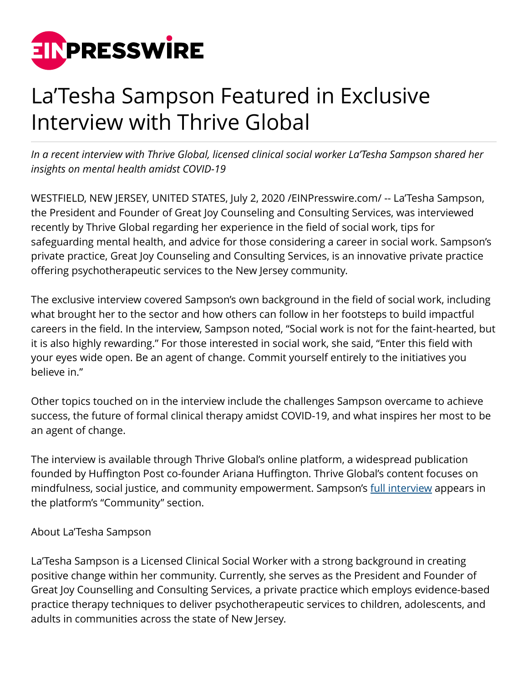

## La'Tesha Sampson Featured in Exclusive Interview with Thrive Global

*In a recent interview with Thrive Global, licensed clinical social worker La'Tesha Sampson shared her insights on mental health amidst COVID-19*

WESTFIELD, NEW JERSEY, UNITED STATES, July 2, 2020 [/EINPresswire.com](http://www.einpresswire.com)/ -- La'Tesha Sampson, the President and Founder of Great Joy Counseling and Consulting Services, was interviewed recently by Thrive Global regarding her experience in the field of social work, tips for safeguarding mental health, and advice for those considering a career in social work. Sampson's private practice, Great Joy Counseling and Consulting Services, is an innovative private practice offering psychotherapeutic services to the New Jersey community.

The exclusive interview covered Sampson's own background in the field of social work, including what brought her to the sector and how others can follow in her footsteps to build impactful careers in the field. In the interview, Sampson noted, "Social work is not for the faint-hearted, but it is also highly rewarding." For those interested in social work, she said, "Enter this field with your eyes wide open. Be an agent of change. Commit yourself entirely to the initiatives you believe in."

Other topics touched on in the interview include the challenges Sampson overcame to achieve success, the future of formal clinical therapy amidst COVID-19, and what inspires her most to be an agent of change.

The interview is available through Thrive Global's online platform, a widespread publication founded by Huffington Post co-founder Ariana Huffington. Thrive Global's content focuses on mindfulness, social justice, and community empowerment. Sampson's [full interview](https://thriveglobal.com/stories/a-discussion-with-latesha-sampson-about-safeguarding-your-mental-health/) appears in the platform's "Community" section.

## About La'Tesha Sampson

La'Tesha Sampson is a Licensed Clinical Social Worker with a strong background in creating positive change within her community. Currently, she serves as the President and Founder of Great Joy Counselling and Consulting Services, a private practice which employs evidence-based practice therapy techniques to deliver psychotherapeutic services to children, adolescents, and adults in communities across the state of New Jersey.